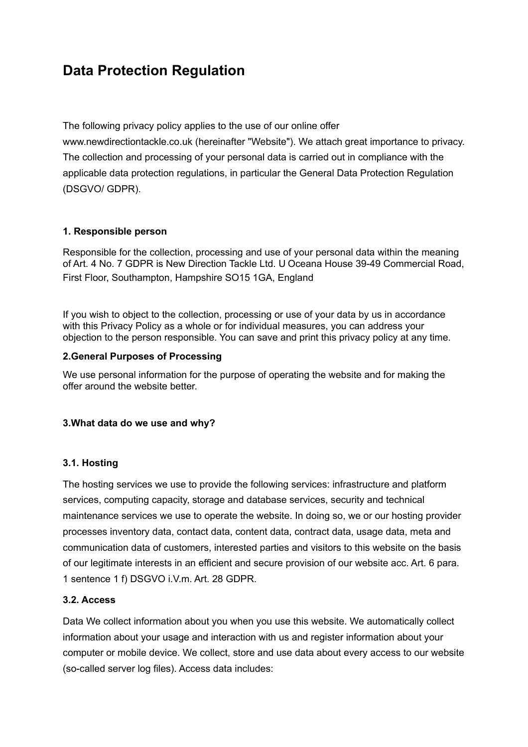# **Data Protection Regulation**

The following privacy policy applies to the use of our online offer

www.newdirectiontackle.co.uk (hereinafter "Website"). We attach great importance to privacy. The collection and processing of your personal data is carried out in compliance with the applicable data protection regulations, in particular the General Data Protection Regulation (DSGVO/ GDPR).

# **1. Responsible person**

Responsible for the collection, processing and use of your personal data within the meaning of Art. 4 No. 7 GDPR is New Direction Tackle Ltd. U Oceana House 39-49 Commercial Road, First Floor, Southampton, Hampshire SO15 1GA, England

If you wish to object to the collection, processing or use of your data by us in accordance with this Privacy Policy as a whole or for individual measures, you can address your objection to the person responsible. You can save and print this privacy policy at any time.

# **2.General Purposes of Processing**

We use personal information for the purpose of operating the website and for making the offer around the website better.

# **3.What data do we use and why?**

## **3.1. Hosting**

The hosting services we use to provide the following services: infrastructure and platform services, computing capacity, storage and database services, security and technical maintenance services we use to operate the website. In doing so, we or our hosting provider processes inventory data, contact data, content data, contract data, usage data, meta and communication data of customers, interested parties and visitors to this website on the basis of our legitimate interests in an efficient and secure provision of our website acc. Art. 6 para. 1 sentence 1 f) DSGVO i.V.m. Art. 28 GDPR.

## **3.2. Access**

Data We collect information about you when you use this website. We automatically collect information about your usage and interaction with us and register information about your computer or mobile device. We collect, store and use data about every access to our website (so-called server log files). Access data includes: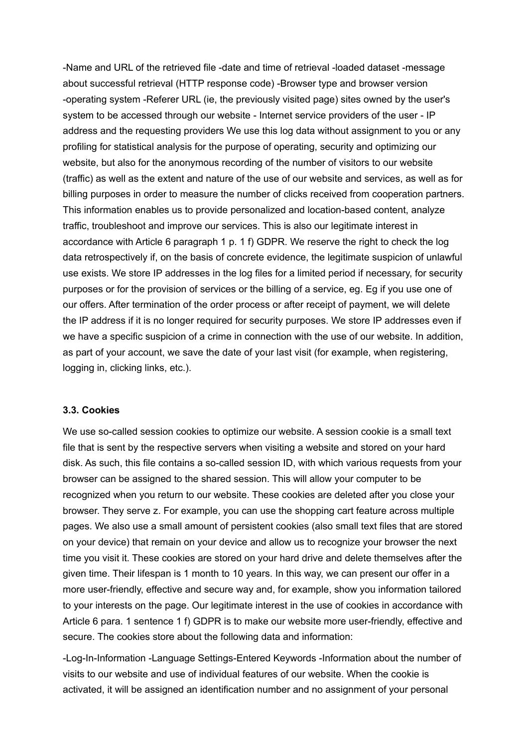-Name and URL of the retrieved file -date and time of retrieval -loaded dataset -message about successful retrieval (HTTP response code) -Browser type and browser version -operating system -Referer URL (ie, the previously visited page) sites owned by the user's system to be accessed through our website - Internet service providers of the user - IP address and the requesting providers We use this log data without assignment to you or any profiling for statistical analysis for the purpose of operating, security and optimizing our website, but also for the anonymous recording of the number of visitors to our website (traffic) as well as the extent and nature of the use of our website and services, as well as for billing purposes in order to measure the number of clicks received from cooperation partners. This information enables us to provide personalized and location-based content, analyze traffic, troubleshoot and improve our services. This is also our legitimate interest in accordance with Article 6 paragraph 1 p. 1 f) GDPR. We reserve the right to check the log data retrospectively if, on the basis of concrete evidence, the legitimate suspicion of unlawful use exists. We store IP addresses in the log files for a limited period if necessary, for security purposes or for the provision of services or the billing of a service, eg. Eg if you use one of our offers. After termination of the order process or after receipt of payment, we will delete the IP address if it is no longer required for security purposes. We store IP addresses even if we have a specific suspicion of a crime in connection with the use of our website. In addition, as part of your account, we save the date of your last visit (for example, when registering, logging in, clicking links, etc.).

#### **3.3. Cookies**

We use so-called session cookies to optimize our website. A session cookie is a small text file that is sent by the respective servers when visiting a website and stored on your hard disk. As such, this file contains a so-called session ID, with which various requests from your browser can be assigned to the shared session. This will allow your computer to be recognized when you return to our website. These cookies are deleted after you close your browser. They serve z. For example, you can use the shopping cart feature across multiple pages. We also use a small amount of persistent cookies (also small text files that are stored on your device) that remain on your device and allow us to recognize your browser the next time you visit it. These cookies are stored on your hard drive and delete themselves after the given time. Their lifespan is 1 month to 10 years. In this way, we can present our offer in a more user-friendly, effective and secure way and, for example, show you information tailored to your interests on the page. Our legitimate interest in the use of cookies in accordance with Article 6 para. 1 sentence 1 f) GDPR is to make our website more user-friendly, effective and secure. The cookies store about the following data and information:

-Log-In-Information -Language Settings-Entered Keywords -Information about the number of visits to our website and use of individual features of our website. When the cookie is activated, it will be assigned an identification number and no assignment of your personal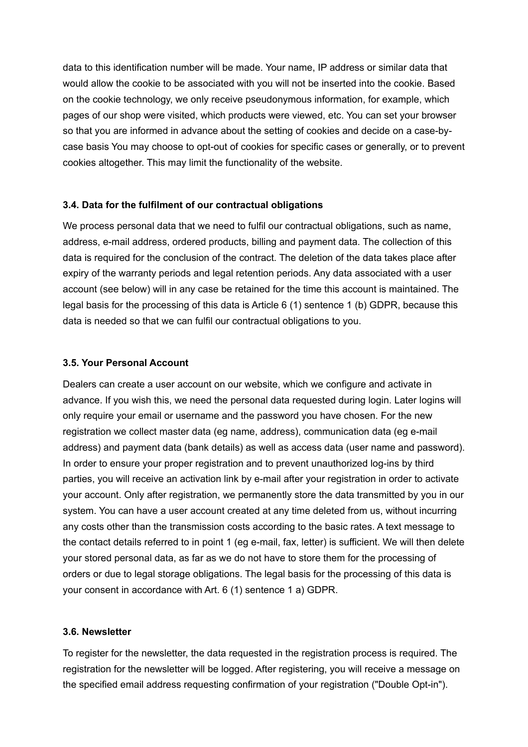data to this identification number will be made. Your name, IP address or similar data that would allow the cookie to be associated with you will not be inserted into the cookie. Based on the cookie technology, we only receive pseudonymous information, for example, which pages of our shop were visited, which products were viewed, etc. You can set your browser so that you are informed in advance about the setting of cookies and decide on a case-bycase basis You may choose to opt-out of cookies for specific cases or generally, or to prevent cookies altogether. This may limit the functionality of the website.

# **3.4. Data for the fulfilment of our contractual obligations**

We process personal data that we need to fulfil our contractual obligations, such as name, address, e-mail address, ordered products, billing and payment data. The collection of this data is required for the conclusion of the contract. The deletion of the data takes place after expiry of the warranty periods and legal retention periods. Any data associated with a user account (see below) will in any case be retained for the time this account is maintained. The legal basis for the processing of this data is Article 6 (1) sentence 1 (b) GDPR, because this data is needed so that we can fulfil our contractual obligations to you.

# **3.5. Your Personal Account**

Dealers can create a user account on our website, which we configure and activate in advance. If you wish this, we need the personal data requested during login. Later logins will only require your email or username and the password you have chosen. For the new registration we collect master data (eg name, address), communication data (eg e-mail address) and payment data (bank details) as well as access data (user name and password). In order to ensure your proper registration and to prevent unauthorized log-ins by third parties, you will receive an activation link by e-mail after your registration in order to activate your account. Only after registration, we permanently store the data transmitted by you in our system. You can have a user account created at any time deleted from us, without incurring any costs other than the transmission costs according to the basic rates. A text message to the contact details referred to in point 1 (eg e-mail, fax, letter) is sufficient. We will then delete your stored personal data, as far as we do not have to store them for the processing of orders or due to legal storage obligations. The legal basis for the processing of this data is your consent in accordance with Art. 6 (1) sentence 1 a) GDPR.

## **3.6. Newsletter**

To register for the newsletter, the data requested in the registration process is required. The registration for the newsletter will be logged. After registering, you will receive a message on the specified email address requesting confirmation of your registration ("Double Opt-in").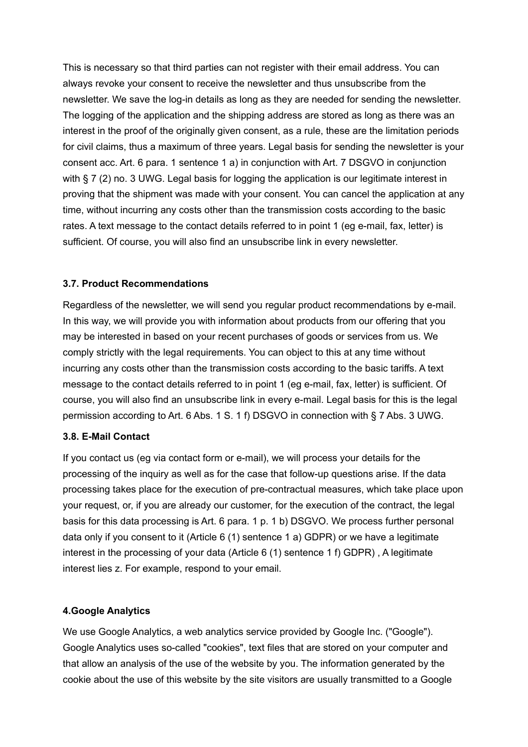This is necessary so that third parties can not register with their email address. You can always revoke your consent to receive the newsletter and thus unsubscribe from the newsletter. We save the log-in details as long as they are needed for sending the newsletter. The logging of the application and the shipping address are stored as long as there was an interest in the proof of the originally given consent, as a rule, these are the limitation periods for civil claims, thus a maximum of three years. Legal basis for sending the newsletter is your consent acc. Art. 6 para. 1 sentence 1 a) in conjunction with Art. 7 DSGVO in conjunction with § 7 (2) no. 3 UWG. Legal basis for logging the application is our legitimate interest in proving that the shipment was made with your consent. You can cancel the application at any time, without incurring any costs other than the transmission costs according to the basic rates. A text message to the contact details referred to in point 1 (eg e-mail, fax, letter) is sufficient. Of course, you will also find an unsubscribe link in every newsletter.

# **3.7. Product Recommendations**

Regardless of the newsletter, we will send you regular product recommendations by e-mail. In this way, we will provide you with information about products from our offering that you may be interested in based on your recent purchases of goods or services from us. We comply strictly with the legal requirements. You can object to this at any time without incurring any costs other than the transmission costs according to the basic tariffs. A text message to the contact details referred to in point 1 (eg e-mail, fax, letter) is sufficient. Of course, you will also find an unsubscribe link in every e-mail. Legal basis for this is the legal permission according to Art. 6 Abs. 1 S. 1 f) DSGVO in connection with § 7 Abs. 3 UWG.

# **3.8. E-Mail Contact**

If you contact us (eg via contact form or e-mail), we will process your details for the processing of the inquiry as well as for the case that follow-up questions arise. If the data processing takes place for the execution of pre-contractual measures, which take place upon your request, or, if you are already our customer, for the execution of the contract, the legal basis for this data processing is Art. 6 para. 1 p. 1 b) DSGVO. We process further personal data only if you consent to it (Article 6 (1) sentence 1 a) GDPR) or we have a legitimate interest in the processing of your data (Article 6 (1) sentence 1 f) GDPR) , A legitimate interest lies z. For example, respond to your email.

## **4.Google Analytics**

We use Google Analytics, a web analytics service provided by Google Inc. ("Google"). Google Analytics uses so-called "cookies", text files that are stored on your computer and that allow an analysis of the use of the website by you. The information generated by the cookie about the use of this website by the site visitors are usually transmitted to a Google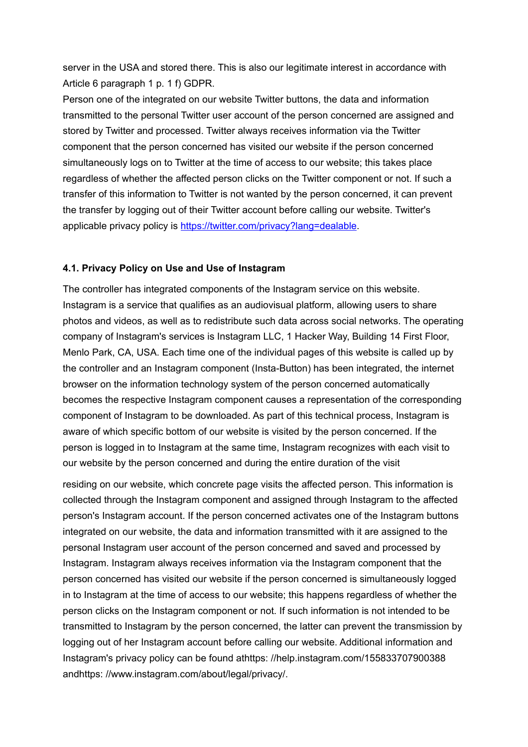server in the USA and stored there. This is also our legitimate interest in accordance with Article 6 paragraph 1 p. 1 f) GDPR.

Person one of the integrated on our website Twitter buttons, the data and information transmitted to the personal Twitter user account of the person concerned are assigned and stored by Twitter and processed. Twitter always receives information via the Twitter component that the person concerned has visited our website if the person concerned simultaneously logs on to Twitter at the time of access to our website; this takes place regardless of whether the affected person clicks on the Twitter component or not. If such a transfer of this information to Twitter is not wanted by the person concerned, it can prevent the transfer by logging out of their Twitter account before calling our website. Twitter's applicable privacy policy is [https://twitter.com/privacy?lang=dealable.](https://twitter.com/privacy?lang=dealable)

# **4.1. Privacy Policy on Use and Use of Instagram**

The controller has integrated components of the Instagram service on this website. Instagram is a service that qualifies as an audiovisual platform, allowing users to share photos and videos, as well as to redistribute such data across social networks. The operating company of Instagram's services is Instagram LLC, 1 Hacker Way, Building 14 First Floor, Menlo Park, CA, USA. Each time one of the individual pages of this website is called up by the controller and an Instagram component (Insta-Button) has been integrated, the internet browser on the information technology system of the person concerned automatically becomes the respective Instagram component causes a representation of the corresponding component of Instagram to be downloaded. As part of this technical process, Instagram is aware of which specific bottom of our website is visited by the person concerned. If the person is logged in to Instagram at the same time, Instagram recognizes with each visit to our website by the person concerned and during the entire duration of the visit

residing on our website, which concrete page visits the affected person. This information is collected through the Instagram component and assigned through Instagram to the affected person's Instagram account. If the person concerned activates one of the Instagram buttons integrated on our website, the data and information transmitted with it are assigned to the personal Instagram user account of the person concerned and saved and processed by Instagram. Instagram always receives information via the Instagram component that the person concerned has visited our website if the person concerned is simultaneously logged in to Instagram at the time of access to our website; this happens regardless of whether the person clicks on the Instagram component or not. If such information is not intended to be transmitted to Instagram by the person concerned, the latter can prevent the transmission by logging out of her Instagram account before calling our website. Additional information and Instagram's privacy policy can be found athttps: //help.instagram.com/155833707900388 andhttps: //www.instagram.com/about/legal/privacy/.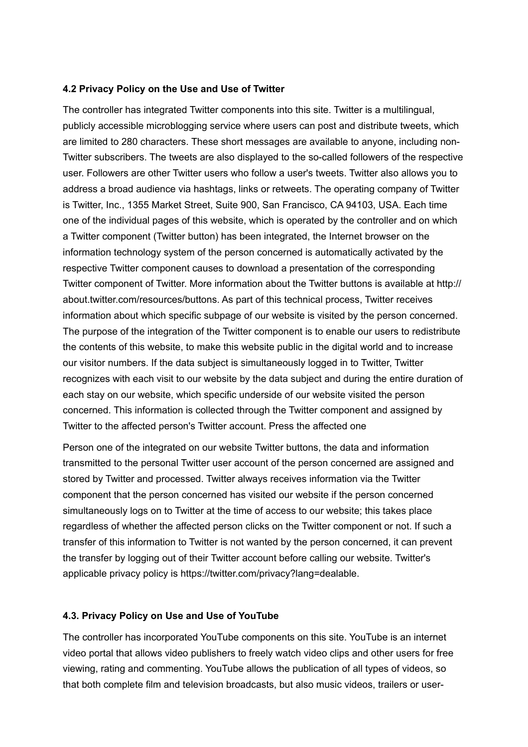#### **4.2 Privacy Policy on the Use and Use of Twitter**

The controller has integrated Twitter components into this site. Twitter is a multilingual, publicly accessible microblogging service where users can post and distribute tweets, which are limited to 280 characters. These short messages are available to anyone, including non-Twitter subscribers. The tweets are also displayed to the so-called followers of the respective user. Followers are other Twitter users who follow a user's tweets. Twitter also allows you to address a broad audience via hashtags, links or retweets. The operating company of Twitter is Twitter, Inc., 1355 Market Street, Suite 900, San Francisco, CA 94103, USA. Each time one of the individual pages of this website, which is operated by the controller and on which a Twitter component (Twitter button) has been integrated, the Internet browser on the information technology system of the person concerned is automatically activated by the respective Twitter component causes to download a presentation of the corresponding Twitter component of Twitter. More information about the Twitter buttons is available at http:// about.twitter.com/resources/buttons. As part of this technical process, Twitter receives information about which specific subpage of our website is visited by the person concerned. The purpose of the integration of the Twitter component is to enable our users to redistribute the contents of this website, to make this website public in the digital world and to increase our visitor numbers. If the data subject is simultaneously logged in to Twitter, Twitter recognizes with each visit to our website by the data subject and during the entire duration of each stay on our website, which specific underside of our website visited the person concerned. This information is collected through the Twitter component and assigned by Twitter to the affected person's Twitter account. Press the affected one

Person one of the integrated on our website Twitter buttons, the data and information transmitted to the personal Twitter user account of the person concerned are assigned and stored by Twitter and processed. Twitter always receives information via the Twitter component that the person concerned has visited our website if the person concerned simultaneously logs on to Twitter at the time of access to our website; this takes place regardless of whether the affected person clicks on the Twitter component or not. If such a transfer of this information to Twitter is not wanted by the person concerned, it can prevent the transfer by logging out of their Twitter account before calling our website. Twitter's applicable privacy policy is https://twitter.com/privacy?lang=dealable.

#### **4.3. Privacy Policy on Use and Use of YouTube**

The controller has incorporated YouTube components on this site. YouTube is an internet video portal that allows video publishers to freely watch video clips and other users for free viewing, rating and commenting. YouTube allows the publication of all types of videos, so that both complete film and television broadcasts, but also music videos, trailers or user-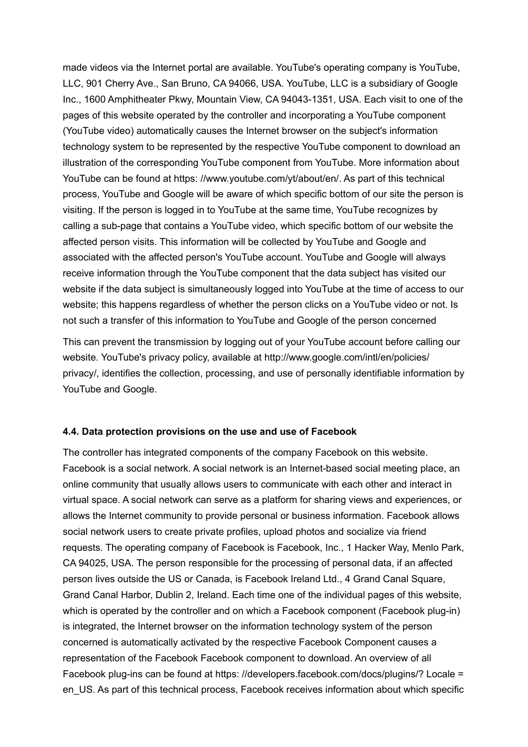made videos via the Internet portal are available. YouTube's operating company is YouTube, LLC, 901 Cherry Ave., San Bruno, CA 94066, USA. YouTube, LLC is a subsidiary of Google Inc., 1600 Amphitheater Pkwy, Mountain View, CA 94043-1351, USA. Each visit to one of the pages of this website operated by the controller and incorporating a YouTube component (YouTube video) automatically causes the Internet browser on the subject's information technology system to be represented by the respective YouTube component to download an illustration of the corresponding YouTube component from YouTube. More information about YouTube can be found at https: //www.youtube.com/yt/about/en/. As part of this technical process, YouTube and Google will be aware of which specific bottom of our site the person is visiting. If the person is logged in to YouTube at the same time, YouTube recognizes by calling a sub-page that contains a YouTube video, which specific bottom of our website the affected person visits. This information will be collected by YouTube and Google and associated with the affected person's YouTube account. YouTube and Google will always receive information through the YouTube component that the data subject has visited our website if the data subject is simultaneously logged into YouTube at the time of access to our website; this happens regardless of whether the person clicks on a YouTube video or not. Is not such a transfer of this information to YouTube and Google of the person concerned

This can prevent the transmission by logging out of your YouTube account before calling our website. YouTube's privacy policy, available at http://www.google.com/intl/en/policies/ privacy/, identifies the collection, processing, and use of personally identifiable information by YouTube and Google.

#### **4.4. Data protection provisions on the use and use of Facebook**

The controller has integrated components of the company Facebook on this website. Facebook is a social network. A social network is an Internet-based social meeting place, an online community that usually allows users to communicate with each other and interact in virtual space. A social network can serve as a platform for sharing views and experiences, or allows the Internet community to provide personal or business information. Facebook allows social network users to create private profiles, upload photos and socialize via friend requests. The operating company of Facebook is Facebook, Inc., 1 Hacker Way, Menlo Park, CA 94025, USA. The person responsible for the processing of personal data, if an affected person lives outside the US or Canada, is Facebook Ireland Ltd., 4 Grand Canal Square, Grand Canal Harbor, Dublin 2, Ireland. Each time one of the individual pages of this website, which is operated by the controller and on which a Facebook component (Facebook plug-in) is integrated, the Internet browser on the information technology system of the person concerned is automatically activated by the respective Facebook Component causes a representation of the Facebook Facebook component to download. An overview of all Facebook plug-ins can be found at https: //developers.facebook.com/docs/plugins/? Locale = en\_US. As part of this technical process, Facebook receives information about which specific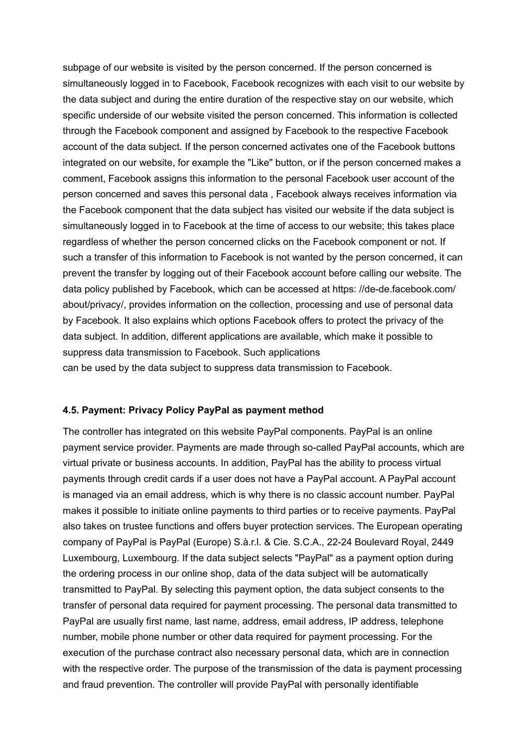subpage of our website is visited by the person concerned. If the person concerned is simultaneously logged in to Facebook, Facebook recognizes with each visit to our website by the data subject and during the entire duration of the respective stay on our website, which specific underside of our website visited the person concerned. This information is collected through the Facebook component and assigned by Facebook to the respective Facebook account of the data subject. If the person concerned activates one of the Facebook buttons integrated on our website, for example the "Like" button, or if the person concerned makes a comment, Facebook assigns this information to the personal Facebook user account of the person concerned and saves this personal data , Facebook always receives information via the Facebook component that the data subject has visited our website if the data subject is simultaneously logged in to Facebook at the time of access to our website; this takes place regardless of whether the person concerned clicks on the Facebook component or not. If such a transfer of this information to Facebook is not wanted by the person concerned, it can prevent the transfer by logging out of their Facebook account before calling our website. The data policy published by Facebook, which can be accessed at https: //de-de.facebook.com/ about/privacy/, provides information on the collection, processing and use of personal data by Facebook. It also explains which options Facebook offers to protect the privacy of the data subject. In addition, different applications are available, which make it possible to suppress data transmission to Facebook. Such applications can be used by the data subject to suppress data transmission to Facebook.

#### **4.5. Payment: Privacy Policy PayPal as payment method**

The controller has integrated on this website PayPal components. PayPal is an online payment service provider. Payments are made through so-called PayPal accounts, which are virtual private or business accounts. In addition, PayPal has the ability to process virtual payments through credit cards if a user does not have a PayPal account. A PayPal account is managed via an email address, which is why there is no classic account number. PayPal makes it possible to initiate online payments to third parties or to receive payments. PayPal also takes on trustee functions and offers buyer protection services. The European operating company of PayPal is PayPal (Europe) S.à.r.l. & Cie. S.C.A., 22-24 Boulevard Royal, 2449 Luxembourg, Luxembourg. If the data subject selects "PayPal" as a payment option during the ordering process in our online shop, data of the data subject will be automatically transmitted to PayPal. By selecting this payment option, the data subject consents to the transfer of personal data required for payment processing. The personal data transmitted to PayPal are usually first name, last name, address, email address, IP address, telephone number, mobile phone number or other data required for payment processing. For the execution of the purchase contract also necessary personal data, which are in connection with the respective order. The purpose of the transmission of the data is payment processing and fraud prevention. The controller will provide PayPal with personally identifiable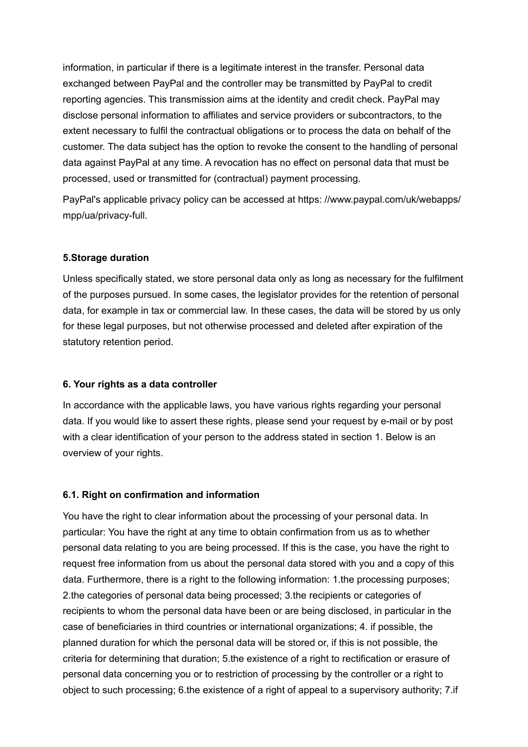information, in particular if there is a legitimate interest in the transfer. Personal data exchanged between PayPal and the controller may be transmitted by PayPal to credit reporting agencies. This transmission aims at the identity and credit check. PayPal may disclose personal information to affiliates and service providers or subcontractors, to the extent necessary to fulfil the contractual obligations or to process the data on behalf of the customer. The data subject has the option to revoke the consent to the handling of personal data against PayPal at any time. A revocation has no effect on personal data that must be processed, used or transmitted for (contractual) payment processing.

PayPal's applicable privacy policy can be accessed at https: //www.paypal.com/uk/webapps/ mpp/ua/privacy-full.

# **5.Storage duration**

Unless specifically stated, we store personal data only as long as necessary for the fulfilment of the purposes pursued. In some cases, the legislator provides for the retention of personal data, for example in tax or commercial law. In these cases, the data will be stored by us only for these legal purposes, but not otherwise processed and deleted after expiration of the statutory retention period.

## **6. Your rights as a data controller**

In accordance with the applicable laws, you have various rights regarding your personal data. If you would like to assert these rights, please send your request by e-mail or by post with a clear identification of your person to the address stated in section 1. Below is an overview of your rights.

## **6.1. Right on confirmation and information**

You have the right to clear information about the processing of your personal data. In particular: You have the right at any time to obtain confirmation from us as to whether personal data relating to you are being processed. If this is the case, you have the right to request free information from us about the personal data stored with you and a copy of this data. Furthermore, there is a right to the following information: 1.the processing purposes; 2.the categories of personal data being processed; 3.the recipients or categories of recipients to whom the personal data have been or are being disclosed, in particular in the case of beneficiaries in third countries or international organizations; 4. if possible, the planned duration for which the personal data will be stored or, if this is not possible, the criteria for determining that duration; 5.the existence of a right to rectification or erasure of personal data concerning you or to restriction of processing by the controller or a right to object to such processing; 6.the existence of a right of appeal to a supervisory authority; 7.if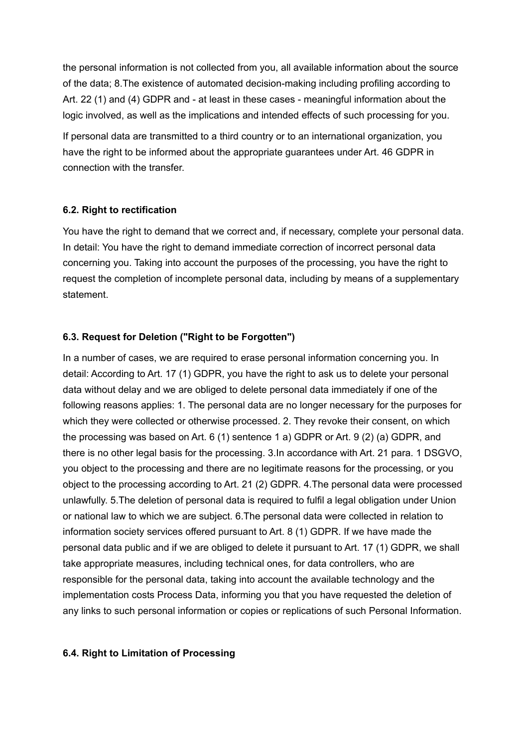the personal information is not collected from you, all available information about the source of the data; 8.The existence of automated decision-making including profiling according to Art. 22 (1) and (4) GDPR and - at least in these cases - meaningful information about the logic involved, as well as the implications and intended effects of such processing for you.

If personal data are transmitted to a third country or to an international organization, you have the right to be informed about the appropriate guarantees under Art. 46 GDPR in connection with the transfer.

## **6.2. Right to rectification**

You have the right to demand that we correct and, if necessary, complete your personal data. In detail: You have the right to demand immediate correction of incorrect personal data concerning you. Taking into account the purposes of the processing, you have the right to request the completion of incomplete personal data, including by means of a supplementary statement.

# **6.3. Request for Deletion ("Right to be Forgotten")**

In a number of cases, we are required to erase personal information concerning you. In detail: According to Art. 17 (1) GDPR, you have the right to ask us to delete your personal data without delay and we are obliged to delete personal data immediately if one of the following reasons applies: 1. The personal data are no longer necessary for the purposes for which they were collected or otherwise processed. 2. They revoke their consent, on which the processing was based on Art. 6 (1) sentence 1 a) GDPR or Art. 9 (2) (a) GDPR, and there is no other legal basis for the processing. 3.In accordance with Art. 21 para. 1 DSGVO, you object to the processing and there are no legitimate reasons for the processing, or you object to the processing according to Art. 21 (2) GDPR. 4.The personal data were processed unlawfully. 5.The deletion of personal data is required to fulfil a legal obligation under Union or national law to which we are subject. 6.The personal data were collected in relation to information society services offered pursuant to Art. 8 (1) GDPR. If we have made the personal data public and if we are obliged to delete it pursuant to Art. 17 (1) GDPR, we shall take appropriate measures, including technical ones, for data controllers, who are responsible for the personal data, taking into account the available technology and the implementation costs Process Data, informing you that you have requested the deletion of any links to such personal information or copies or replications of such Personal Information.

## **6.4. Right to Limitation of Processing**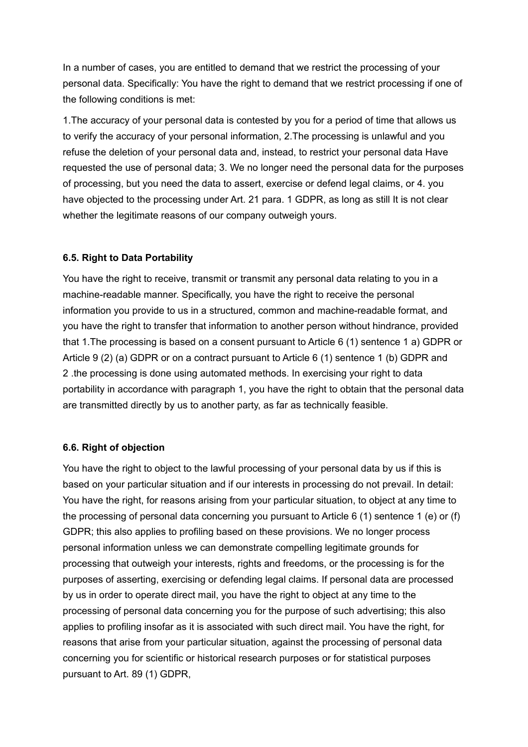In a number of cases, you are entitled to demand that we restrict the processing of your personal data. Specifically: You have the right to demand that we restrict processing if one of the following conditions is met:

1.The accuracy of your personal data is contested by you for a period of time that allows us to verify the accuracy of your personal information, 2.The processing is unlawful and you refuse the deletion of your personal data and, instead, to restrict your personal data Have requested the use of personal data; 3. We no longer need the personal data for the purposes of processing, but you need the data to assert, exercise or defend legal claims, or 4. you have objected to the processing under Art. 21 para. 1 GDPR, as long as still It is not clear whether the legitimate reasons of our company outweigh yours.

## **6.5. Right to Data Portability**

You have the right to receive, transmit or transmit any personal data relating to you in a machine-readable manner. Specifically, you have the right to receive the personal information you provide to us in a structured, common and machine-readable format, and you have the right to transfer that information to another person without hindrance, provided that 1.The processing is based on a consent pursuant to Article 6 (1) sentence 1 a) GDPR or Article 9 (2) (a) GDPR or on a contract pursuant to Article 6 (1) sentence 1 (b) GDPR and 2 .the processing is done using automated methods. In exercising your right to data portability in accordance with paragraph 1, you have the right to obtain that the personal data are transmitted directly by us to another party, as far as technically feasible.

## **6.6. Right of objection**

You have the right to object to the lawful processing of your personal data by us if this is based on your particular situation and if our interests in processing do not prevail. In detail: You have the right, for reasons arising from your particular situation, to object at any time to the processing of personal data concerning you pursuant to Article 6 (1) sentence 1 (e) or (f) GDPR; this also applies to profiling based on these provisions. We no longer process personal information unless we can demonstrate compelling legitimate grounds for processing that outweigh your interests, rights and freedoms, or the processing is for the purposes of asserting, exercising or defending legal claims. If personal data are processed by us in order to operate direct mail, you have the right to object at any time to the processing of personal data concerning you for the purpose of such advertising; this also applies to profiling insofar as it is associated with such direct mail. You have the right, for reasons that arise from your particular situation, against the processing of personal data concerning you for scientific or historical research purposes or for statistical purposes pursuant to Art. 89 (1) GDPR,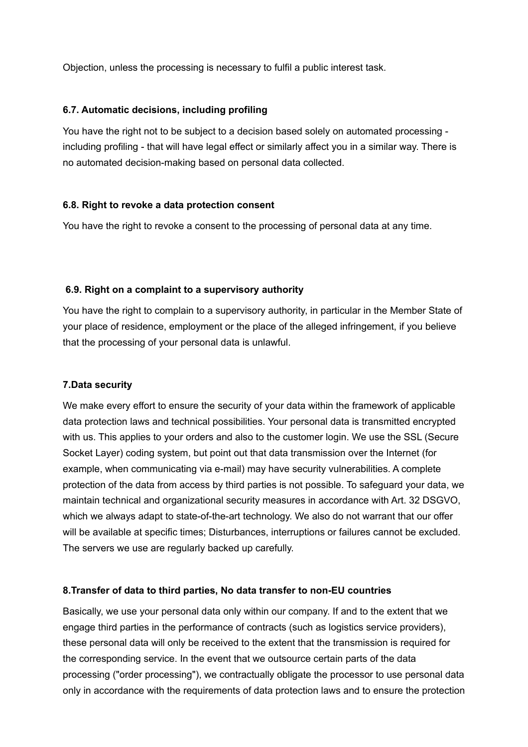Objection, unless the processing is necessary to fulfil a public interest task.

# **6.7. Automatic decisions, including profiling**

You have the right not to be subject to a decision based solely on automated processing including profiling - that will have legal effect or similarly affect you in a similar way. There is no automated decision-making based on personal data collected.

# **6.8. Right to revoke a data protection consent**

You have the right to revoke a consent to the processing of personal data at any time.

# **6.9. Right on a complaint to a supervisory authority**

You have the right to complain to a supervisory authority, in particular in the Member State of your place of residence, employment or the place of the alleged infringement, if you believe that the processing of your personal data is unlawful.

# **7.Data security**

We make every effort to ensure the security of your data within the framework of applicable data protection laws and technical possibilities. Your personal data is transmitted encrypted with us. This applies to your orders and also to the customer login. We use the SSL (Secure Socket Layer) coding system, but point out that data transmission over the Internet (for example, when communicating via e-mail) may have security vulnerabilities. A complete protection of the data from access by third parties is not possible. To safeguard your data, we maintain technical and organizational security measures in accordance with Art. 32 DSGVO, which we always adapt to state-of-the-art technology. We also do not warrant that our offer will be available at specific times; Disturbances, interruptions or failures cannot be excluded. The servers we use are regularly backed up carefully.

## **8.Transfer of data to third parties, No data transfer to non-EU countries**

Basically, we use your personal data only within our company. If and to the extent that we engage third parties in the performance of contracts (such as logistics service providers), these personal data will only be received to the extent that the transmission is required for the corresponding service. In the event that we outsource certain parts of the data processing ("order processing"), we contractually obligate the processor to use personal data only in accordance with the requirements of data protection laws and to ensure the protection